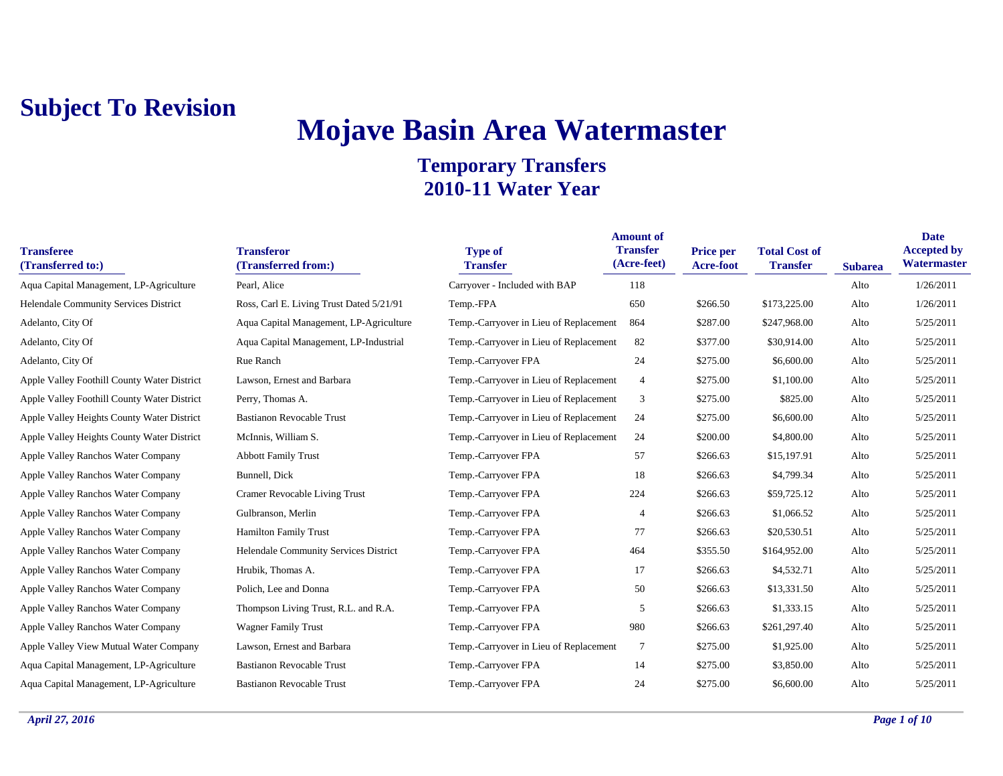# **Mojave Basin Area Watermaster**

| <b>Transferee</b><br>(Transferred to:)      | <b>Transferor</b><br>(Transferred from:) | <b>Type of</b><br><b>Transfer</b>      | <b>Amount of</b><br><b>Transfer</b><br>(Acre-feet) | <b>Price per</b><br>Acre-foot | <b>Total Cost of</b><br><b>Transfer</b> | <b>Subarea</b> | <b>Date</b><br><b>Accepted by</b><br>Watermaster |
|---------------------------------------------|------------------------------------------|----------------------------------------|----------------------------------------------------|-------------------------------|-----------------------------------------|----------------|--------------------------------------------------|
| Aqua Capital Management, LP-Agriculture     | Pearl, Alice                             | Carryover - Included with BAP          | 118                                                |                               |                                         | Alto           | 1/26/2011                                        |
| Helendale Community Services District       | Ross, Carl E. Living Trust Dated 5/21/91 | Temp.-FPA                              | 650                                                | \$266.50                      | \$173,225.00                            | Alto           | 1/26/2011                                        |
| Adelanto, City Of                           | Aqua Capital Management, LP-Agriculture  | Temp.-Carryover in Lieu of Replacement | 864                                                | \$287.00                      | \$247,968.00                            | Alto           | 5/25/2011                                        |
| Adelanto, City Of                           | Aqua Capital Management, LP-Industrial   | Temp.-Carryover in Lieu of Replacement | 82                                                 | \$377.00                      | \$30,914.00                             | Alto           | 5/25/2011                                        |
| Adelanto, City Of                           | Rue Ranch                                | Temp.-Carryover FPA                    | 24                                                 | \$275.00                      | \$6,600.00                              | Alto           | 5/25/2011                                        |
| Apple Valley Foothill County Water District | Lawson, Ernest and Barbara               | Temp.-Carryover in Lieu of Replacement | $\overline{4}$                                     | \$275.00                      | \$1,100.00                              | Alto           | 5/25/2011                                        |
| Apple Valley Foothill County Water District | Perry, Thomas A.                         | Temp.-Carryover in Lieu of Replacement | 3                                                  | \$275.00                      | \$825.00                                | Alto           | 5/25/2011                                        |
| Apple Valley Heights County Water District  | <b>Bastianon Revocable Trust</b>         | Temp.-Carryover in Lieu of Replacement | 24                                                 | \$275.00                      | \$6,600.00                              | Alto           | 5/25/2011                                        |
| Apple Valley Heights County Water District  | McInnis, William S.                      | Temp.-Carryover in Lieu of Replacement | 24                                                 | \$200.00                      | \$4,800.00                              | Alto           | 5/25/2011                                        |
| Apple Valley Ranchos Water Company          | <b>Abbott Family Trust</b>               | Temp.-Carryover FPA                    | 57                                                 | \$266.63                      | \$15,197.91                             | Alto           | 5/25/2011                                        |
| Apple Valley Ranchos Water Company          | Bunnell, Dick                            | Temp.-Carryover FPA                    | 18                                                 | \$266.63                      | \$4,799.34                              | Alto           | 5/25/2011                                        |
| Apple Valley Ranchos Water Company          | Cramer Revocable Living Trust            | Temp.-Carryover FPA                    | 224                                                | \$266.63                      | \$59,725.12                             | Alto           | 5/25/2011                                        |
| Apple Valley Ranchos Water Company          | Gulbranson, Merlin                       | Temp.-Carryover FPA                    | $\overline{4}$                                     | \$266.63                      | \$1,066.52                              | Alto           | 5/25/2011                                        |
| Apple Valley Ranchos Water Company          | <b>Hamilton Family Trust</b>             | Temp.-Carryover FPA                    | 77                                                 | \$266.63                      | \$20,530.51                             | Alto           | 5/25/2011                                        |
| Apple Valley Ranchos Water Company          | Helendale Community Services District    | Temp.-Carryover FPA                    | 464                                                | \$355.50                      | \$164,952.00                            | Alto           | 5/25/2011                                        |
| Apple Valley Ranchos Water Company          | Hrubik, Thomas A.                        | Temp.-Carryover FPA                    | 17                                                 | \$266.63                      | \$4,532.71                              | Alto           | 5/25/2011                                        |
| Apple Valley Ranchos Water Company          | Polich, Lee and Donna                    | Temp.-Carryover FPA                    | 50                                                 | \$266.63                      | \$13,331.50                             | Alto           | 5/25/2011                                        |
| Apple Valley Ranchos Water Company          | Thompson Living Trust, R.L. and R.A.     | Temp.-Carryover FPA                    | 5                                                  | \$266.63                      | \$1,333.15                              | Alto           | 5/25/2011                                        |
| Apple Valley Ranchos Water Company          | <b>Wagner Family Trust</b>               | Temp.-Carryover FPA                    | 980                                                | \$266.63                      | \$261,297.40                            | Alto           | 5/25/2011                                        |
| Apple Valley View Mutual Water Company      | Lawson, Ernest and Barbara               | Temp.-Carryover in Lieu of Replacement | $7\phantom{.0}$                                    | \$275.00                      | \$1,925.00                              | Alto           | 5/25/2011                                        |
| Aqua Capital Management, LP-Agriculture     | <b>Bastianon Revocable Trust</b>         | Temp.-Carryover FPA                    | 14                                                 | \$275.00                      | \$3,850.00                              | Alto           | 5/25/2011                                        |
| Aqua Capital Management, LP-Agriculture     | <b>Bastianon Revocable Trust</b>         | Temp.-Carryover FPA                    | 24                                                 | \$275.00                      | \$6,600.00                              | Alto           | 5/25/2011                                        |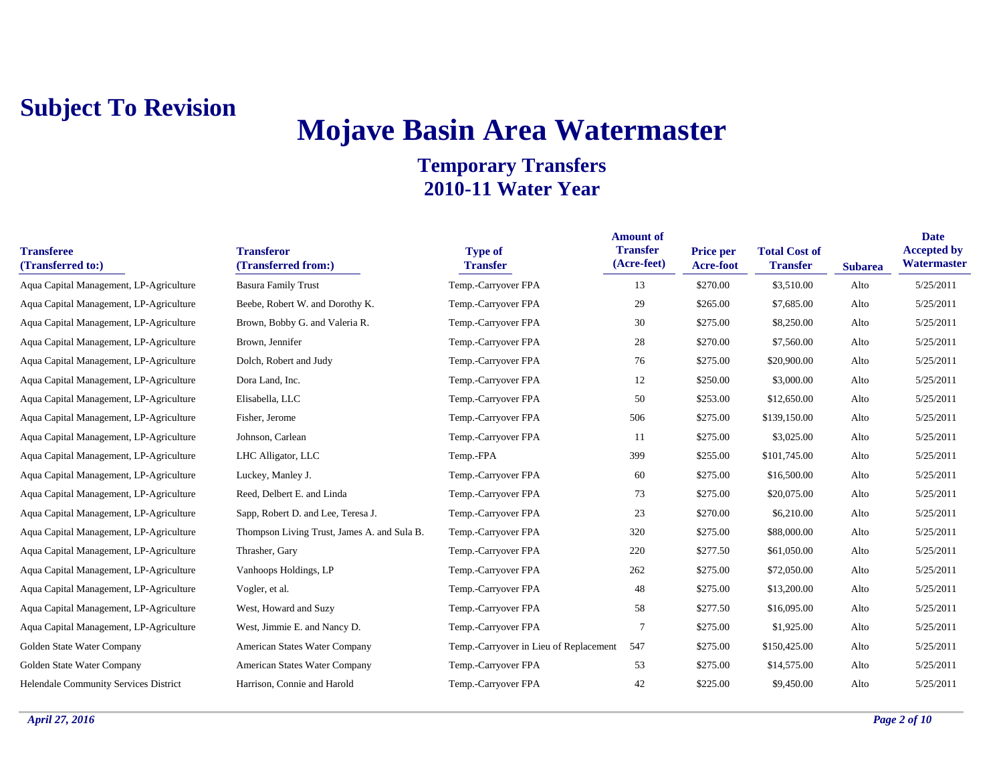## **Mojave Basin Area Watermaster**

| <b>Transferee</b><br>(Transferred to:)  | <b>Transferor</b><br>(Transferred from:)    | <b>Type of</b><br><b>Transfer</b>      | <b>Amount of</b><br><b>Transfer</b><br>(Acre-feet) | <b>Price per</b><br><b>Acre-foot</b> | <b>Total Cost of</b><br><b>Transfer</b> | <b>Subarea</b> | <b>Date</b><br><b>Accepted by</b><br>Watermaster |
|-----------------------------------------|---------------------------------------------|----------------------------------------|----------------------------------------------------|--------------------------------------|-----------------------------------------|----------------|--------------------------------------------------|
| Aqua Capital Management, LP-Agriculture | <b>Basura Family Trust</b>                  | Temp.-Carryover FPA                    | 13                                                 | \$270.00                             | \$3,510.00                              | Alto           | 5/25/2011                                        |
| Aqua Capital Management, LP-Agriculture | Beebe, Robert W. and Dorothy K.             | Temp.-Carryover FPA                    | 29                                                 | \$265.00                             | \$7,685.00                              | Alto           | 5/25/2011                                        |
| Aqua Capital Management, LP-Agriculture | Brown, Bobby G. and Valeria R.              | Temp.-Carryover FPA                    | 30                                                 | \$275.00                             | \$8,250.00                              | Alto           | 5/25/2011                                        |
| Aqua Capital Management, LP-Agriculture | Brown, Jennifer                             | Temp.-Carryover FPA                    | 28                                                 | \$270.00                             | \$7,560.00                              | Alto           | 5/25/2011                                        |
| Aqua Capital Management, LP-Agriculture | Dolch, Robert and Judy                      | Temp.-Carryover FPA                    | 76                                                 | \$275.00                             | \$20,900.00                             | Alto           | 5/25/2011                                        |
| Aqua Capital Management, LP-Agriculture | Dora Land, Inc.                             | Temp.-Carryover FPA                    | 12                                                 | \$250.00                             | \$3,000.00                              | Alto           | 5/25/2011                                        |
| Aqua Capital Management, LP-Agriculture | Elisabella, LLC                             | Temp.-Carryover FPA                    | 50                                                 | \$253.00                             | \$12,650.00                             | Alto           | 5/25/2011                                        |
| Aqua Capital Management, LP-Agriculture | Fisher, Jerome                              | Temp.-Carryover FPA                    | 506                                                | \$275.00                             | \$139,150.00                            | Alto           | 5/25/2011                                        |
| Aqua Capital Management, LP-Agriculture | Johnson, Carlean                            | Temp.-Carryover FPA                    | 11                                                 | \$275.00                             | \$3,025.00                              | Alto           | 5/25/2011                                        |
| Aqua Capital Management, LP-Agriculture | LHC Alligator, LLC                          | Temp.-FPA                              | 399                                                | \$255.00                             | \$101,745.00                            | Alto           | 5/25/2011                                        |
| Aqua Capital Management, LP-Agriculture | Luckey, Manley J.                           | Temp.-Carryover FPA                    | 60                                                 | \$275.00                             | \$16,500.00                             | Alto           | 5/25/2011                                        |
| Aqua Capital Management, LP-Agriculture | Reed, Delbert E. and Linda                  | Temp.-Carryover FPA                    | 73                                                 | \$275.00                             | \$20,075.00                             | Alto           | 5/25/2011                                        |
| Aqua Capital Management, LP-Agriculture | Sapp, Robert D. and Lee, Teresa J.          | Temp.-Carryover FPA                    | 23                                                 | \$270.00                             | \$6,210.00                              | Alto           | 5/25/2011                                        |
| Aqua Capital Management, LP-Agriculture | Thompson Living Trust, James A. and Sula B. | Temp.-Carryover FPA                    | 320                                                | \$275.00                             | \$88,000.00                             | Alto           | 5/25/2011                                        |
| Aqua Capital Management, LP-Agriculture | Thrasher, Gary                              | Temp.-Carryover FPA                    | 220                                                | \$277.50                             | \$61,050.00                             | Alto           | 5/25/2011                                        |
| Aqua Capital Management, LP-Agriculture | Vanhoops Holdings, LP                       | Temp.-Carryover FPA                    | 262                                                | \$275.00                             | \$72,050.00                             | Alto           | 5/25/2011                                        |
| Aqua Capital Management, LP-Agriculture | Vogler, et al.                              | Temp.-Carryover FPA                    | 48                                                 | \$275.00                             | \$13,200.00                             | Alto           | 5/25/2011                                        |
| Aqua Capital Management, LP-Agriculture | West, Howard and Suzy                       | Temp.-Carryover FPA                    | 58                                                 | \$277.50                             | \$16,095.00                             | Alto           | 5/25/2011                                        |
| Aqua Capital Management, LP-Agriculture | West, Jimmie E. and Nancy D.                | Temp.-Carryover FPA                    | $\overline{7}$                                     | \$275.00                             | \$1,925.00                              | Alto           | 5/25/2011                                        |
| Golden State Water Company              | American States Water Company               | Temp.-Carryover in Lieu of Replacement | 547                                                | \$275.00                             | \$150,425.00                            | Alto           | 5/25/2011                                        |
| Golden State Water Company              | American States Water Company               | Temp.-Carryover FPA                    | 53                                                 | \$275.00                             | \$14,575.00                             | Alto           | 5/25/2011                                        |
| Helendale Community Services District   | Harrison, Connie and Harold                 | Temp.-Carryover FPA                    | 42                                                 | \$225.00                             | \$9,450.00                              | Alto           | 5/25/2011                                        |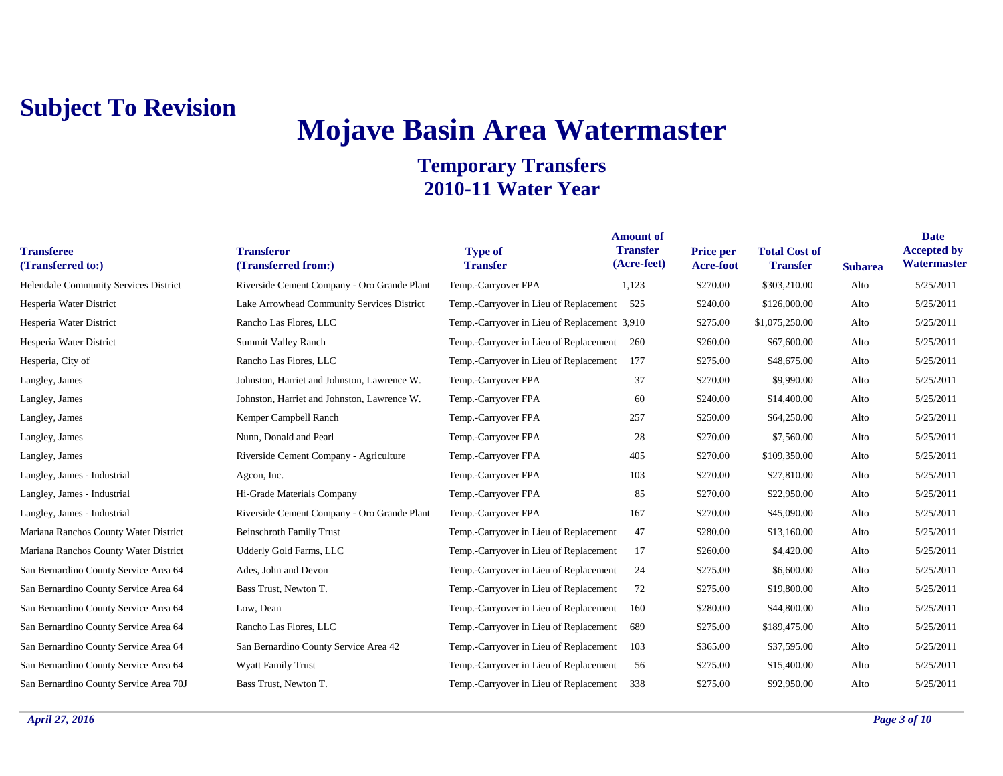### **Mojave Basin Area Watermaster Temporary Transfers**

#### **2010-11 Water Year**

| <b>Transferee</b><br>(Transferred to:) | <b>Transferor</b><br>(Transferred from:)    | <b>Type of</b><br><b>Transfer</b>            | <b>Amount of</b><br><b>Transfer</b><br>(Acre-feet) | <b>Price per</b><br>Acre-foot | <b>Total Cost of</b><br><b>Transfer</b> | <b>Subarea</b> | <b>Date</b><br><b>Accepted by</b><br>Watermaster |
|----------------------------------------|---------------------------------------------|----------------------------------------------|----------------------------------------------------|-------------------------------|-----------------------------------------|----------------|--------------------------------------------------|
| Helendale Community Services District  | Riverside Cement Company - Oro Grande Plant | Temp.-Carryover FPA                          | 1,123                                              | \$270.00                      | \$303,210.00                            | Alto           | 5/25/2011                                        |
| Hesperia Water District                | Lake Arrowhead Community Services District  | Temp.-Carryover in Lieu of Replacement       | 525                                                | \$240.00                      | \$126,000.00                            | Alto           | 5/25/2011                                        |
| Hesperia Water District                | Rancho Las Flores, LLC                      | Temp.-Carryover in Lieu of Replacement 3,910 |                                                    | \$275.00                      | \$1,075,250.00                          | Alto           | 5/25/2011                                        |
| Hesperia Water District                | Summit Valley Ranch                         | Temp.-Carryover in Lieu of Replacement       | 260                                                | \$260.00                      | \$67,600.00                             | Alto           | 5/25/2011                                        |
| Hesperia, City of                      | Rancho Las Flores, LLC                      | Temp.-Carryover in Lieu of Replacement       | 177                                                | \$275.00                      | \$48,675.00                             | Alto           | 5/25/2011                                        |
| Langley, James                         | Johnston, Harriet and Johnston, Lawrence W. | Temp.-Carryover FPA                          | 37                                                 | \$270.00                      | \$9,990.00                              | Alto           | 5/25/2011                                        |
| Langley, James                         | Johnston, Harriet and Johnston, Lawrence W. | Temp.-Carryover FPA                          | 60                                                 | \$240.00                      | \$14,400.00                             | Alto           | 5/25/2011                                        |
| Langley, James                         | Kemper Campbell Ranch                       | Temp.-Carryover FPA                          | 257                                                | \$250.00                      | \$64,250.00                             | Alto           | 5/25/2011                                        |
| Langley, James                         | Nunn, Donald and Pearl                      | Temp.-Carryover FPA                          | 28                                                 | \$270.00                      | \$7,560.00                              | Alto           | 5/25/2011                                        |
| Langley, James                         | Riverside Cement Company - Agriculture      | Temp.-Carryover FPA                          | 405                                                | \$270.00                      | \$109,350.00                            | Alto           | 5/25/2011                                        |
| Langley, James - Industrial            | Agcon, Inc.                                 | Temp.-Carryover FPA                          | 103                                                | \$270.00                      | \$27,810.00                             | Alto           | 5/25/2011                                        |
| Langley, James - Industrial            | Hi-Grade Materials Company                  | Temp.-Carryover FPA                          | 85                                                 | \$270.00                      | \$22,950.00                             | Alto           | 5/25/2011                                        |
| Langley, James - Industrial            | Riverside Cement Company - Oro Grande Plant | Temp.-Carryover FPA                          | 167                                                | \$270.00                      | \$45,090.00                             | Alto           | 5/25/2011                                        |
| Mariana Ranchos County Water District  | <b>Beinschroth Family Trust</b>             | Temp.-Carryover in Lieu of Replacement       | 47                                                 | \$280.00                      | \$13,160.00                             | Alto           | 5/25/2011                                        |
| Mariana Ranchos County Water District  | Udderly Gold Farms, LLC                     | Temp.-Carryover in Lieu of Replacement       | 17                                                 | \$260.00                      | \$4,420.00                              | Alto           | 5/25/2011                                        |
| San Bernardino County Service Area 64  | Ades, John and Devon                        | Temp.-Carryover in Lieu of Replacement       | 24                                                 | \$275.00                      | \$6,600.00                              | Alto           | 5/25/2011                                        |
| San Bernardino County Service Area 64  | Bass Trust, Newton T.                       | Temp.-Carryover in Lieu of Replacement       | 72                                                 | \$275.00                      | \$19,800.00                             | Alto           | 5/25/2011                                        |
| San Bernardino County Service Area 64  | Low, Dean                                   | Temp.-Carryover in Lieu of Replacement       | 160                                                | \$280.00                      | \$44,800.00                             | Alto           | 5/25/2011                                        |
| San Bernardino County Service Area 64  | Rancho Las Flores, LLC                      | Temp.-Carryover in Lieu of Replacement       | 689                                                | \$275.00                      | \$189,475.00                            | Alto           | 5/25/2011                                        |
| San Bernardino County Service Area 64  | San Bernardino County Service Area 42       | Temp.-Carryover in Lieu of Replacement       | 103                                                | \$365.00                      | \$37,595.00                             | Alto           | 5/25/2011                                        |
| San Bernardino County Service Area 64  | <b>Wyatt Family Trust</b>                   | Temp.-Carryover in Lieu of Replacement       | 56                                                 | \$275.00                      | \$15,400.00                             | Alto           | 5/25/2011                                        |
| San Bernardino County Service Area 70J | Bass Trust, Newton T.                       | Temp.-Carryover in Lieu of Replacement       | 338                                                | \$275.00                      | \$92,950.00                             | Alto           | 5/25/2011                                        |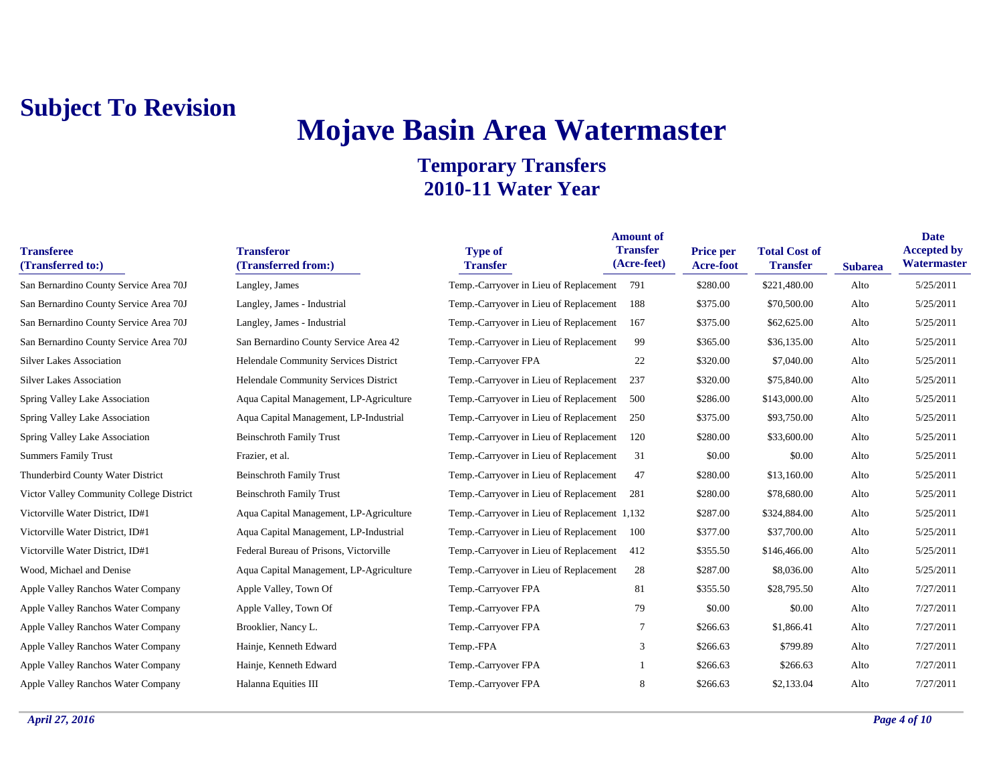## **Mojave Basin Area Watermaster**

| <b>Transferee</b><br>(Transferred to:)   | <b>Transferor</b><br>(Transferred from:) | <b>Type of</b><br><b>Transfer</b>            | <b>Amount of</b><br><b>Transfer</b><br>(Acre-feet) | Price per<br><b>Acre-foot</b> | <b>Total Cost of</b><br><b>Transfer</b> | <b>Subarea</b> | <b>Date</b><br><b>Accepted by</b><br>Watermaster |
|------------------------------------------|------------------------------------------|----------------------------------------------|----------------------------------------------------|-------------------------------|-----------------------------------------|----------------|--------------------------------------------------|
| San Bernardino County Service Area 70J   | Langley, James                           | Temp.-Carryover in Lieu of Replacement       | 791                                                | \$280.00                      | \$221,480.00                            | Alto           | 5/25/2011                                        |
| San Bernardino County Service Area 70J   | Langley, James - Industrial              | Temp.-Carryover in Lieu of Replacement       | 188                                                | \$375.00                      | \$70,500.00                             | Alto           | 5/25/2011                                        |
| San Bernardino County Service Area 70J   | Langley, James - Industrial              | Temp.-Carryover in Lieu of Replacement       | 167                                                | \$375.00                      | \$62,625.00                             | Alto           | 5/25/2011                                        |
| San Bernardino County Service Area 70J   | San Bernardino County Service Area 42    | Temp.-Carryover in Lieu of Replacement       | 99                                                 | \$365.00                      | \$36,135.00                             | Alto           | 5/25/2011                                        |
| <b>Silver Lakes Association</b>          | Helendale Community Services District    | Temp.-Carryover FPA                          | 22                                                 | \$320.00                      | \$7,040.00                              | Alto           | 5/25/2011                                        |
| <b>Silver Lakes Association</b>          | Helendale Community Services District    | Temp.-Carryover in Lieu of Replacement       | 237                                                | \$320.00                      | \$75,840.00                             | Alto           | 5/25/2011                                        |
| Spring Valley Lake Association           | Aqua Capital Management, LP-Agriculture  | Temp.-Carryover in Lieu of Replacement       | 500                                                | \$286.00                      | \$143,000.00                            | Alto           | 5/25/2011                                        |
| Spring Valley Lake Association           | Aqua Capital Management, LP-Industrial   | Temp.-Carryover in Lieu of Replacement       | 250                                                | \$375.00                      | \$93,750.00                             | Alto           | 5/25/2011                                        |
| Spring Valley Lake Association           | <b>Beinschroth Family Trust</b>          | Temp.-Carryover in Lieu of Replacement       | 120                                                | \$280.00                      | \$33,600.00                             | Alto           | 5/25/2011                                        |
| <b>Summers Family Trust</b>              | Frazier, et al.                          | Temp.-Carryover in Lieu of Replacement       | 31                                                 | \$0.00                        | \$0.00                                  | Alto           | 5/25/2011                                        |
| Thunderbird County Water District        | <b>Beinschroth Family Trust</b>          | Temp.-Carryover in Lieu of Replacement       | 47                                                 | \$280.00                      | \$13,160.00                             | Alto           | 5/25/2011                                        |
| Victor Valley Community College District | <b>Beinschroth Family Trust</b>          | Temp.-Carryover in Lieu of Replacement       | 281                                                | \$280.00                      | \$78,680.00                             | Alto           | 5/25/2011                                        |
| Victorville Water District, ID#1         | Aqua Capital Management, LP-Agriculture  | Temp.-Carryover in Lieu of Replacement 1,132 |                                                    | \$287.00                      | \$324,884.00                            | Alto           | 5/25/2011                                        |
| Victorville Water District, ID#1         | Aqua Capital Management, LP-Industrial   | Temp.-Carryover in Lieu of Replacement       | 100                                                | \$377.00                      | \$37,700.00                             | Alto           | 5/25/2011                                        |
| Victorville Water District, ID#1         | Federal Bureau of Prisons, Victorville   | Temp.-Carryover in Lieu of Replacement       | 412                                                | \$355.50                      | \$146,466.00                            | Alto           | 5/25/2011                                        |
| Wood, Michael and Denise                 | Aqua Capital Management, LP-Agriculture  | Temp.-Carryover in Lieu of Replacement       | 28                                                 | \$287.00                      | \$8,036.00                              | Alto           | 5/25/2011                                        |
| Apple Valley Ranchos Water Company       | Apple Valley, Town Of                    | Temp.-Carryover FPA                          | 81                                                 | \$355.50                      | \$28,795.50                             | Alto           | 7/27/2011                                        |
| Apple Valley Ranchos Water Company       | Apple Valley, Town Of                    | Temp.-Carryover FPA                          | 79                                                 | \$0.00                        | \$0.00                                  | Alto           | 7/27/2011                                        |
| Apple Valley Ranchos Water Company       | Brooklier, Nancy L.                      | Temp.-Carryover FPA                          | 7                                                  | \$266.63                      | \$1,866.41                              | Alto           | 7/27/2011                                        |
| Apple Valley Ranchos Water Company       | Hainje, Kenneth Edward                   | Temp.-FPA                                    | 3                                                  | \$266.63                      | \$799.89                                | Alto           | 7/27/2011                                        |
| Apple Valley Ranchos Water Company       | Hainje, Kenneth Edward                   | Temp.-Carryover FPA                          |                                                    | \$266.63                      | \$266.63                                | Alto           | 7/27/2011                                        |
| Apple Valley Ranchos Water Company       | Halanna Equities III                     | Temp.-Carryover FPA                          | 8                                                  | \$266.63                      | \$2,133.04                              | Alto           | 7/27/2011                                        |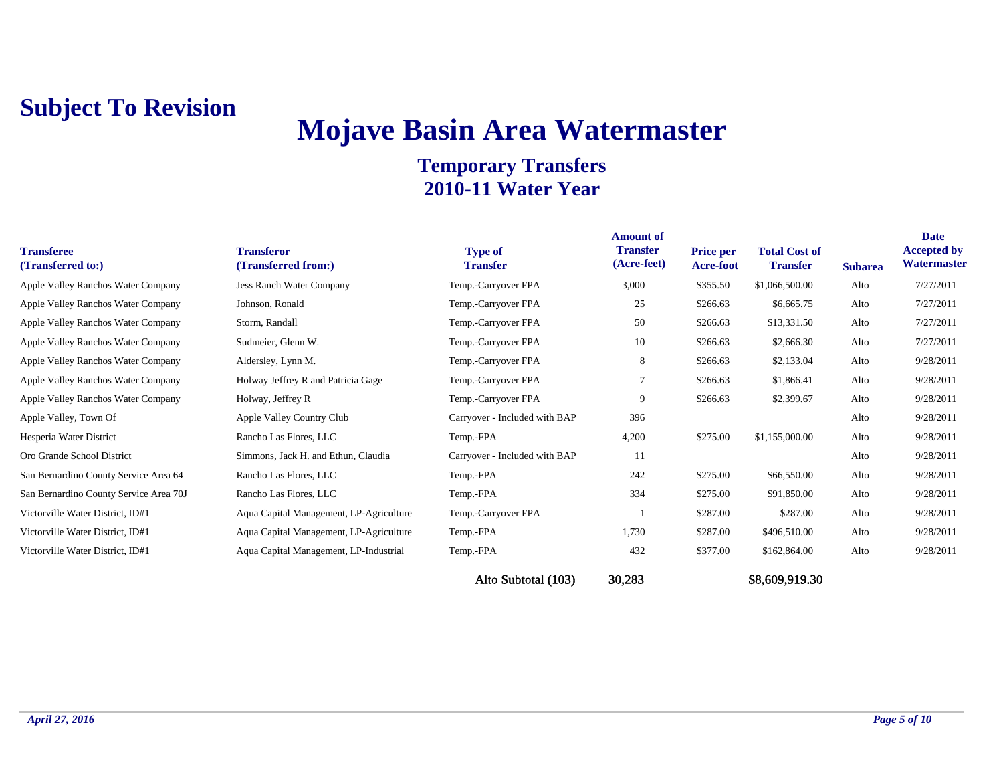## **Mojave Basin Area Watermaster**

| <b>Transferee</b><br>(Transferred to:) | <b>Transferor</b><br>(Transferred from:) | <b>Type of</b><br><b>Transfer</b> | <b>Amount of</b><br><b>Transfer</b><br>(Acre-feet) | <b>Price per</b><br><b>Acre-foot</b> | <b>Total Cost of</b><br><b>Transfer</b> | <b>Subarea</b> | <b>Date</b><br><b>Accepted by</b><br>Watermaster |
|----------------------------------------|------------------------------------------|-----------------------------------|----------------------------------------------------|--------------------------------------|-----------------------------------------|----------------|--------------------------------------------------|
| Apple Valley Ranchos Water Company     | <b>Jess Ranch Water Company</b>          | Temp.-Carryover FPA               | 3,000                                              | \$355.50                             | \$1,066,500.00                          | Alto           | 7/27/2011                                        |
| Apple Valley Ranchos Water Company     | Johnson, Ronald                          | Temp.-Carryover FPA               | 25                                                 | \$266.63                             | \$6,665.75                              | Alto           | 7/27/2011                                        |
| Apple Valley Ranchos Water Company     | Storm, Randall                           | Temp.-Carryover FPA               | 50                                                 | \$266.63                             | \$13,331.50                             | Alto           | 7/27/2011                                        |
| Apple Valley Ranchos Water Company     | Sudmeier, Glenn W.                       | Temp.-Carryover FPA               | 10                                                 | \$266.63                             | \$2,666.30                              | Alto           | 7/27/2011                                        |
| Apple Valley Ranchos Water Company     | Aldersley, Lynn M.                       | Temp.-Carryover FPA               | 8                                                  | \$266.63                             | \$2,133.04                              | Alto           | 9/28/2011                                        |
| Apple Valley Ranchos Water Company     | Holway Jeffrey R and Patricia Gage       | Temp.-Carryover FPA               |                                                    | \$266.63                             | \$1,866.41                              | Alto           | 9/28/2011                                        |
| Apple Valley Ranchos Water Company     | Holway, Jeffrey R                        | Temp.-Carryover FPA               | 9                                                  | \$266.63                             | \$2,399.67                              | Alto           | 9/28/2011                                        |
| Apple Valley, Town Of                  | Apple Valley Country Club                | Carryover - Included with BAP     | 396                                                |                                      |                                         | Alto           | 9/28/2011                                        |
| Hesperia Water District                | Rancho Las Flores, LLC                   | Temp.-FPA                         | 4,200                                              | \$275.00                             | \$1,155,000.00                          | Alto           | 9/28/2011                                        |
| Oro Grande School District             | Simmons, Jack H. and Ethun, Claudia      | Carryover - Included with BAP     | 11                                                 |                                      |                                         | Alto           | 9/28/2011                                        |
| San Bernardino County Service Area 64  | Rancho Las Flores, LLC                   | Temp.-FPA                         | 242                                                | \$275.00                             | \$66,550.00                             | Alto           | 9/28/2011                                        |
| San Bernardino County Service Area 70J | Rancho Las Flores, LLC                   | Temp.-FPA                         | 334                                                | \$275.00                             | \$91,850.00                             | Alto           | 9/28/2011                                        |
| Victorville Water District, ID#1       | Aqua Capital Management, LP-Agriculture  | Temp.-Carryover FPA               |                                                    | \$287.00                             | \$287.00                                | Alto           | 9/28/2011                                        |
| Victorville Water District, ID#1       | Aqua Capital Management, LP-Agriculture  | Temp.-FPA                         | 1,730                                              | \$287.00                             | \$496,510.00                            | Alto           | 9/28/2011                                        |
| Victorville Water District, ID#1       | Aqua Capital Management, LP-Industrial   | Temp.-FPA                         | 432                                                | \$377.00                             | \$162,864.00                            | Alto           | 9/28/2011                                        |
|                                        |                                          | Alto Subtotal (103)               | 30,283                                             |                                      | \$8,609,919.30                          |                |                                                  |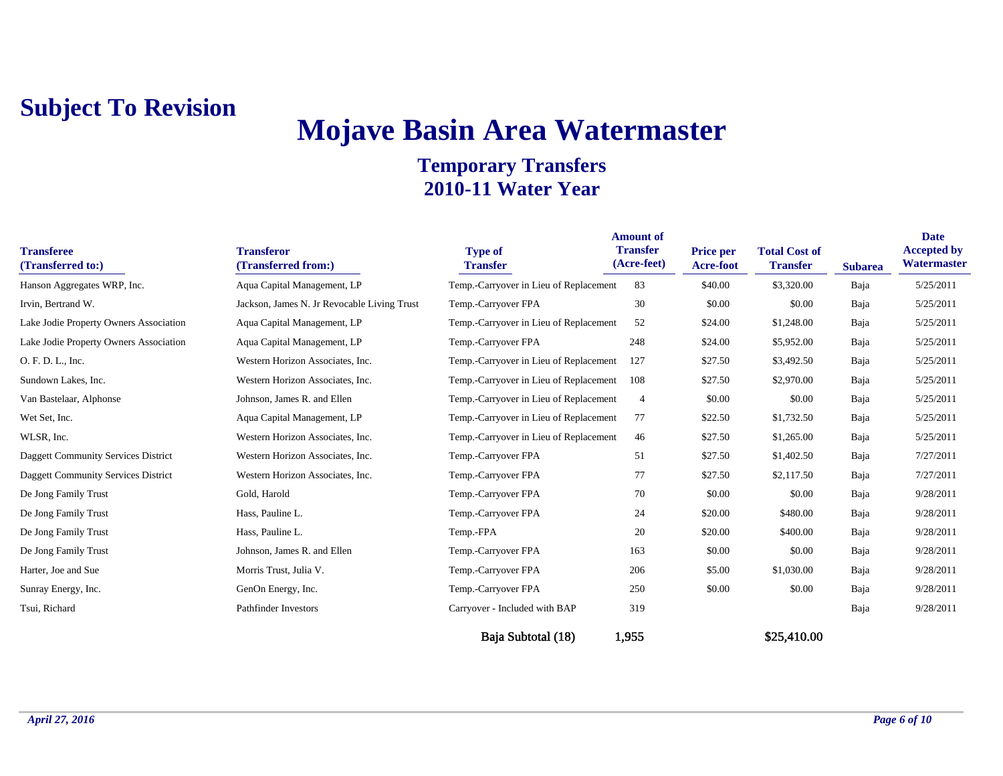# **Mojave Basin Area Watermaster**

| <b>Transferee</b><br>(Transferred to:)     | <b>Transferor</b><br>(Transferred from:)    | <b>Type of</b><br><b>Transfer</b>      | <b>Amount of</b><br><b>Transfer</b><br>(Acre-feet) | Price per<br><b>Acre-foot</b> | <b>Total Cost of</b><br><b>Transfer</b> | <b>Subarea</b> | <b>Date</b><br><b>Accepted by</b><br>Watermaster |
|--------------------------------------------|---------------------------------------------|----------------------------------------|----------------------------------------------------|-------------------------------|-----------------------------------------|----------------|--------------------------------------------------|
| Hanson Aggregates WRP, Inc.                | Aqua Capital Management, LP                 | Temp.-Carryover in Lieu of Replacement | 83                                                 | \$40.00                       | \$3,320.00                              | Baja           | 5/25/2011                                        |
| Irvin, Bertrand W.                         | Jackson, James N. Jr Revocable Living Trust | Temp.-Carryover FPA                    | 30                                                 | \$0.00                        | \$0.00                                  | Baja           | 5/25/2011                                        |
| Lake Jodie Property Owners Association     | Aqua Capital Management, LP                 | Temp.-Carryover in Lieu of Replacement | 52                                                 | \$24.00                       | \$1,248.00                              | Baja           | 5/25/2011                                        |
| Lake Jodie Property Owners Association     | Aqua Capital Management, LP                 | Temp.-Carryover FPA                    | 248                                                | \$24.00                       | \$5,952.00                              | Baja           | 5/25/2011                                        |
| O. F. D. L., Inc.                          | Western Horizon Associates, Inc.            | Temp.-Carryover in Lieu of Replacement | 127                                                | \$27.50                       | \$3,492.50                              | Baja           | 5/25/2011                                        |
| Sundown Lakes, Inc.                        | Western Horizon Associates, Inc.            | Temp.-Carryover in Lieu of Replacement | 108                                                | \$27.50                       | \$2,970.00                              | Baja           | 5/25/2011                                        |
| Van Bastelaar, Alphonse                    | Johnson, James R. and Ellen                 | Temp.-Carryover in Lieu of Replacement | $\overline{4}$                                     | \$0.00                        | \$0.00                                  | Baja           | 5/25/2011                                        |
| Wet Set, Inc.                              | Aqua Capital Management, LP                 | Temp.-Carryover in Lieu of Replacement | 77                                                 | \$22.50                       | \$1,732.50                              | Baja           | 5/25/2011                                        |
| WLSR, Inc.                                 | Western Horizon Associates, Inc.            | Temp.-Carryover in Lieu of Replacement | 46                                                 | \$27.50                       | \$1,265.00                              | Baja           | 5/25/2011                                        |
| <b>Daggett Community Services District</b> | Western Horizon Associates, Inc.            | Temp.-Carryover FPA                    | 51                                                 | \$27.50                       | \$1,402.50                              | Baja           | 7/27/2011                                        |
| <b>Daggett Community Services District</b> | Western Horizon Associates, Inc.            | Temp.-Carryover FPA                    | 77                                                 | \$27.50                       | \$2,117.50                              | Baja           | 7/27/2011                                        |
| De Jong Family Trust                       | Gold, Harold                                | Temp.-Carryover FPA                    | 70                                                 | \$0.00                        | \$0.00                                  | Baja           | 9/28/2011                                        |
| De Jong Family Trust                       | Hass, Pauline L.                            | Temp.-Carryover FPA                    | 24                                                 | \$20.00                       | \$480.00                                | Baja           | 9/28/2011                                        |
| De Jong Family Trust                       | Hass, Pauline L.                            | Temp.-FPA                              | 20                                                 | \$20.00                       | \$400.00                                | Baja           | 9/28/2011                                        |
| De Jong Family Trust                       | Johnson, James R. and Ellen                 | Temp.-Carryover FPA                    | 163                                                | \$0.00                        | \$0.00                                  | Baja           | 9/28/2011                                        |
| Harter, Joe and Sue                        | Morris Trust, Julia V.                      | Temp.-Carryover FPA                    | 206                                                | \$5.00                        | \$1,030.00                              | Baja           | 9/28/2011                                        |
| Sunray Energy, Inc.                        | GenOn Energy, Inc.                          | Temp.-Carryover FPA                    | 250                                                | \$0.00                        | \$0.00                                  | Baja           | 9/28/2011                                        |
| Tsui, Richard                              | <b>Pathfinder Investors</b>                 | Carryover - Included with BAP          | 319                                                |                               |                                         | Baja           | 9/28/2011                                        |
|                                            |                                             | Baia Subtotal (18)                     | 1,955                                              |                               | \$25,410.00                             |                |                                                  |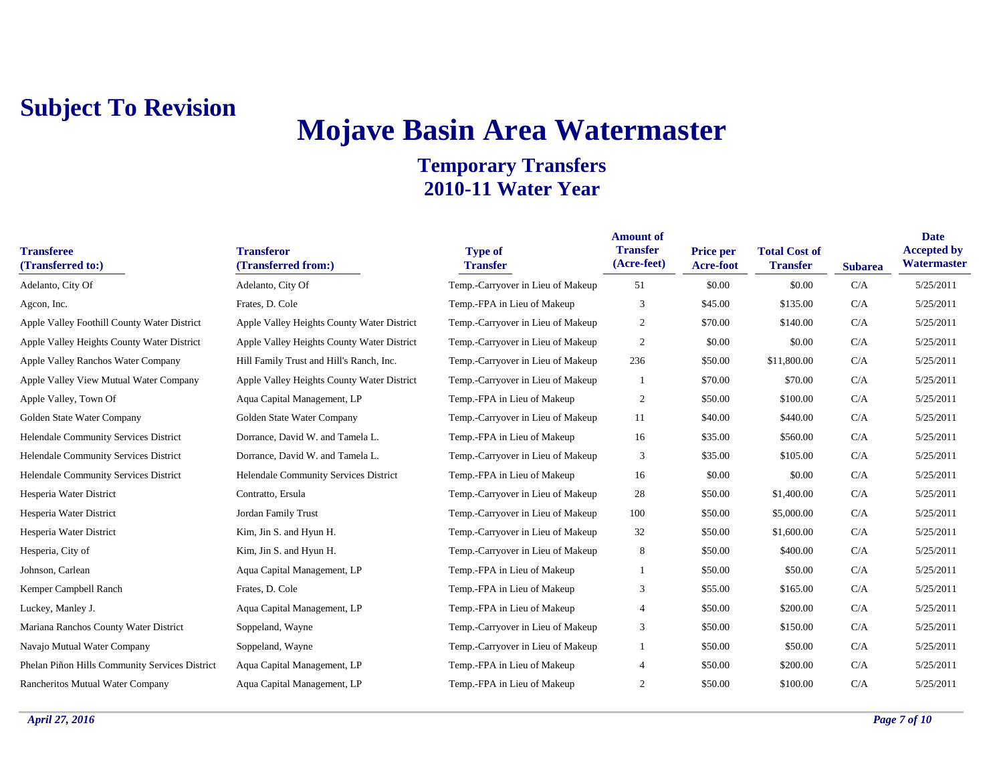# **Mojave Basin Area Watermaster**

| <b>Transferee</b><br>(Transferred to:)         | <b>Transferor</b><br>(Transferred from:)   | <b>Type of</b><br><b>Transfer</b> | <b>Amount of</b><br><b>Transfer</b><br>(Acre-feet) | Price per<br>Acre-foot | <b>Total Cost of</b><br><b>Transfer</b> | <b>Subarea</b> | <b>Date</b><br><b>Accepted by</b><br>Watermaster |
|------------------------------------------------|--------------------------------------------|-----------------------------------|----------------------------------------------------|------------------------|-----------------------------------------|----------------|--------------------------------------------------|
| Adelanto, City Of                              | Adelanto, City Of                          | Temp.-Carryover in Lieu of Makeup | 51                                                 | \$0.00                 | \$0.00                                  | C/A            | 5/25/2011                                        |
| Agcon, Inc.                                    | Frates, D. Cole                            | Temp.-FPA in Lieu of Makeup       | 3                                                  | \$45.00                | \$135.00                                | C/A            | 5/25/2011                                        |
| Apple Valley Foothill County Water District    | Apple Valley Heights County Water District | Temp.-Carryover in Lieu of Makeup | $\overline{2}$                                     | \$70.00                | \$140.00                                | C/A            | 5/25/2011                                        |
| Apple Valley Heights County Water District     | Apple Valley Heights County Water District | Temp.-Carryover in Lieu of Makeup | $\overline{2}$                                     | \$0.00                 | \$0.00                                  | C/A            | 5/25/2011                                        |
| Apple Valley Ranchos Water Company             | Hill Family Trust and Hill's Ranch, Inc.   | Temp.-Carryover in Lieu of Makeup | 236                                                | \$50.00                | \$11,800.00                             | C/A            | 5/25/2011                                        |
| Apple Valley View Mutual Water Company         | Apple Valley Heights County Water District | Temp.-Carryover in Lieu of Makeup |                                                    | \$70.00                | \$70.00                                 | C/A            | 5/25/2011                                        |
| Apple Valley, Town Of                          | Aqua Capital Management, LP                | Temp.-FPA in Lieu of Makeup       | 2                                                  | \$50.00                | \$100.00                                | C/A            | 5/25/2011                                        |
| Golden State Water Company                     | Golden State Water Company                 | Temp.-Carryover in Lieu of Makeup | 11                                                 | \$40.00                | \$440.00                                | C/A            | 5/25/2011                                        |
| Helendale Community Services District          | Dorrance, David W. and Tamela L.           | Temp.-FPA in Lieu of Makeup       | 16                                                 | \$35.00                | \$560.00                                | C/A            | 5/25/2011                                        |
| Helendale Community Services District          | Dorrance, David W. and Tamela L.           | Temp.-Carryover in Lieu of Makeup | 3                                                  | \$35.00                | \$105.00                                | C/A            | 5/25/2011                                        |
| Helendale Community Services District          | Helendale Community Services District      | Temp.-FPA in Lieu of Makeup       | 16                                                 | \$0.00                 | \$0.00                                  | C/A            | 5/25/2011                                        |
| Hesperia Water District                        | Contratto, Ersula                          | Temp.-Carryover in Lieu of Makeup | 28                                                 | \$50.00                | \$1,400.00                              | C/A            | 5/25/2011                                        |
| Hesperia Water District                        | Jordan Family Trust                        | Temp.-Carryover in Lieu of Makeup | 100                                                | \$50.00                | \$5,000.00                              | C/A            | 5/25/2011                                        |
| Hesperia Water District                        | Kim, Jin S. and Hyun H.                    | Temp.-Carryover in Lieu of Makeup | 32                                                 | \$50.00                | \$1,600.00                              | C/A            | 5/25/2011                                        |
| Hesperia, City of                              | Kim, Jin S. and Hyun H.                    | Temp.-Carryover in Lieu of Makeup | 8                                                  | \$50.00                | \$400.00                                | C/A            | 5/25/2011                                        |
| Johnson, Carlean                               | Aqua Capital Management, LP                | Temp.-FPA in Lieu of Makeup       |                                                    | \$50.00                | \$50.00                                 | C/A            | 5/25/2011                                        |
| Kemper Campbell Ranch                          | Frates, D. Cole                            | Temp.-FPA in Lieu of Makeup       | 3                                                  | \$55.00                | \$165.00                                | C/A            | 5/25/2011                                        |
| Luckey, Manley J.                              | Aqua Capital Management, LP                | Temp.-FPA in Lieu of Makeup       | 4                                                  | \$50.00                | \$200.00                                | C/A            | 5/25/2011                                        |
| Mariana Ranchos County Water District          | Soppeland, Wayne                           | Temp.-Carryover in Lieu of Makeup | 3                                                  | \$50.00                | \$150.00                                | C/A            | 5/25/2011                                        |
| Navajo Mutual Water Company                    | Soppeland, Wayne                           | Temp.-Carryover in Lieu of Makeup |                                                    | \$50.00                | \$50.00                                 | C/A            | 5/25/2011                                        |
| Phelan Piñon Hills Community Services District | Aqua Capital Management, LP                | Temp.-FPA in Lieu of Makeup       | $\overline{4}$                                     | \$50.00                | \$200.00                                | C/A            | 5/25/2011                                        |
| Rancheritos Mutual Water Company               | Aqua Capital Management, LP                | Temp.-FPA in Lieu of Makeup       | 2                                                  | \$50.00                | \$100.00                                | C/A            | 5/25/2011                                        |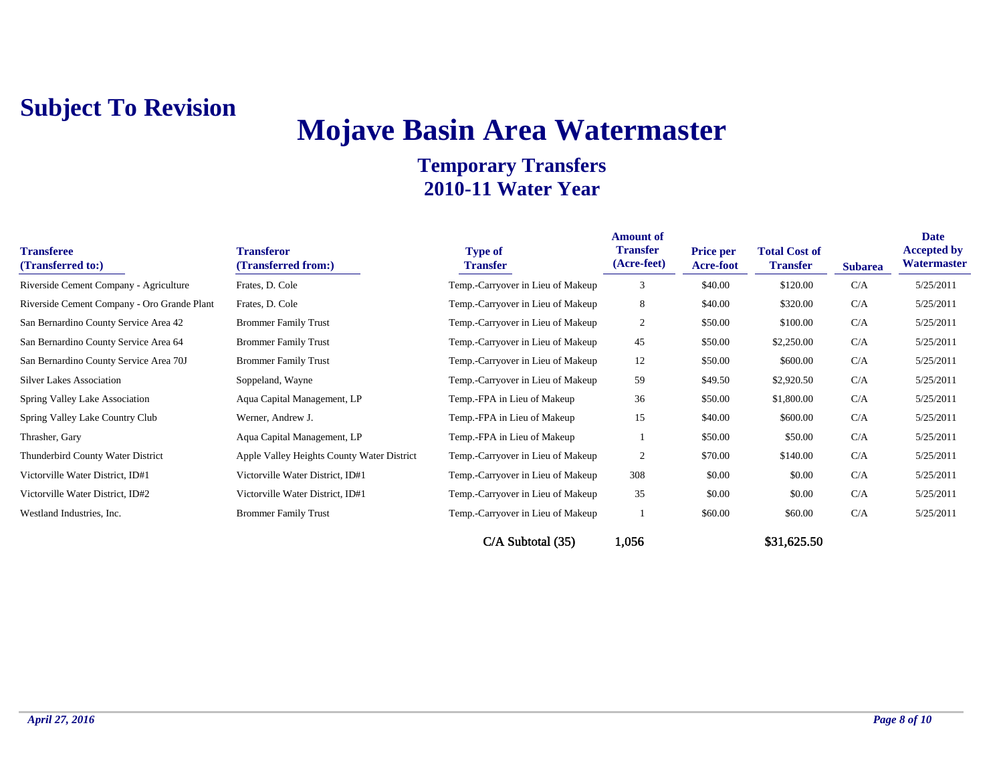## **Mojave Basin Area Watermaster**

| <b>Transferee</b><br>(Transferred to:)      | <b>Transferor</b><br>(Transferred from:)   | <b>Type of</b><br><b>Transfer</b> | <b>Amount of</b><br><b>Transfer</b><br>(Acre-feet) | <b>Price per</b><br><b>Acre-foot</b> | <b>Total Cost of</b><br><b>Transfer</b> | <b>Subarea</b> | <b>Date</b><br><b>Accepted by</b><br>Watermaster |
|---------------------------------------------|--------------------------------------------|-----------------------------------|----------------------------------------------------|--------------------------------------|-----------------------------------------|----------------|--------------------------------------------------|
| Riverside Cement Company - Agriculture      | Frates, D. Cole                            | Temp.-Carryover in Lieu of Makeup | 3                                                  | \$40.00                              | \$120.00                                | C/A            | 5/25/2011                                        |
| Riverside Cement Company - Oro Grande Plant | Frates, D. Cole                            | Temp.-Carryover in Lieu of Makeup | 8                                                  | \$40.00                              | \$320.00                                | C/A            | 5/25/2011                                        |
| San Bernardino County Service Area 42       | <b>Brommer Family Trust</b>                | Temp.-Carryover in Lieu of Makeup | 2                                                  | \$50.00                              | \$100.00                                | C/A            | 5/25/2011                                        |
| San Bernardino County Service Area 64       | <b>Brommer Family Trust</b>                | Temp.-Carryover in Lieu of Makeup | 45                                                 | \$50.00                              | \$2,250.00                              | C/A            | 5/25/2011                                        |
| San Bernardino County Service Area 70J      | <b>Brommer Family Trust</b>                | Temp.-Carryover in Lieu of Makeup | 12                                                 | \$50.00                              | \$600.00                                | C/A            | 5/25/2011                                        |
| <b>Silver Lakes Association</b>             | Soppeland, Wayne                           | Temp.-Carryover in Lieu of Makeup | 59                                                 | \$49.50                              | \$2,920.50                              | C/A            | 5/25/2011                                        |
| Spring Valley Lake Association              | Aqua Capital Management, LP                | Temp.-FPA in Lieu of Makeup       | 36                                                 | \$50.00                              | \$1,800.00                              | C/A            | 5/25/2011                                        |
| Spring Valley Lake Country Club             | Werner, Andrew J.                          | Temp.-FPA in Lieu of Makeup       | 15                                                 | \$40.00                              | \$600.00                                | C/A            | 5/25/2011                                        |
| Thrasher, Gary                              | Aqua Capital Management, LP                | Temp.-FPA in Lieu of Makeup       |                                                    | \$50.00                              | \$50.00                                 | C/A            | 5/25/2011                                        |
| Thunderbird County Water District           | Apple Valley Heights County Water District | Temp.-Carryover in Lieu of Makeup | 2                                                  | \$70.00                              | \$140.00                                | C/A            | 5/25/2011                                        |
| Victorville Water District, ID#1            | Victorville Water District, ID#1           | Temp.-Carryover in Lieu of Makeup | 308                                                | \$0.00                               | \$0.00                                  | C/A            | 5/25/2011                                        |
| Victorville Water District, ID#2            | Victorville Water District, ID#1           | Temp.-Carryover in Lieu of Makeup | 35                                                 | \$0.00                               | \$0.00                                  | C/A            | 5/25/2011                                        |
| Westland Industries, Inc.                   | <b>Brommer Family Trust</b>                | Temp.-Carryover in Lieu of Makeup |                                                    | \$60.00                              | \$60.00                                 | C/A            | 5/25/2011                                        |
|                                             |                                            | C/A Subtotal (35)                 | 1,056                                              |                                      | \$31,625.50                             |                |                                                  |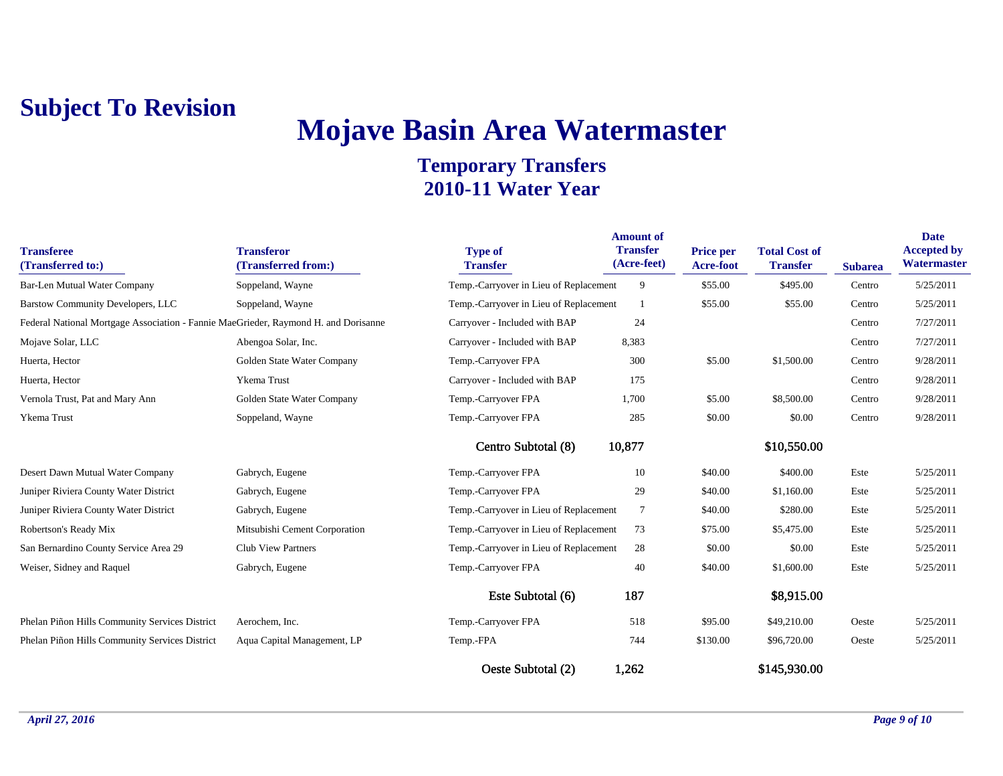## **Mojave Basin Area Watermaster**

| <b>Transferee</b><br>(Transferred to:)                                              | <b>Transferor</b><br>(Transferred from:) | <b>Type of</b><br><b>Transfer</b>      | <b>Amount of</b><br><b>Transfer</b><br>(Acre-feet) | <b>Price per</b><br>Acre-foot | <b>Total Cost of</b><br><b>Transfer</b> | <b>Subarea</b> | <b>Date</b><br><b>Accepted by</b><br>Watermaster |
|-------------------------------------------------------------------------------------|------------------------------------------|----------------------------------------|----------------------------------------------------|-------------------------------|-----------------------------------------|----------------|--------------------------------------------------|
| <b>Bar-Len Mutual Water Company</b>                                                 | Soppeland, Wayne                         | Temp.-Carryover in Lieu of Replacement | 9                                                  | \$55.00                       | \$495.00                                | Centro         | 5/25/2011                                        |
| <b>Barstow Community Developers, LLC</b>                                            | Soppeland, Wayne                         | Temp.-Carryover in Lieu of Replacement |                                                    | \$55.00                       | \$55.00                                 | Centro         | 5/25/2011                                        |
| Federal National Mortgage Association - Fannie MaeGrieder, Raymond H. and Dorisanne |                                          | Carryover - Included with BAP          | 24                                                 |                               |                                         | Centro         | 7/27/2011                                        |
| Mojave Solar, LLC                                                                   | Abengoa Solar, Inc.                      | Carryover - Included with BAP          | 8,383                                              |                               |                                         | Centro         | 7/27/2011                                        |
| Huerta, Hector                                                                      | Golden State Water Company               | Temp.-Carryover FPA                    | 300                                                | \$5.00                        | \$1,500.00                              | Centro         | 9/28/2011                                        |
| Huerta, Hector                                                                      | Ykema Trust                              | Carryover - Included with BAP          | 175                                                |                               |                                         | Centro         | 9/28/2011                                        |
| Vernola Trust, Pat and Mary Ann                                                     | Golden State Water Company               | Temp.-Carryover FPA                    | 1,700                                              | \$5.00                        | \$8,500.00                              | Centro         | 9/28/2011                                        |
| Ykema Trust                                                                         | Soppeland, Wayne                         | Temp.-Carryover FPA                    | 285                                                | \$0.00                        | \$0.00                                  | Centro         | 9/28/2011                                        |
|                                                                                     |                                          | Centro Subtotal (8)                    | 10,877                                             |                               | \$10,550.00                             |                |                                                  |
| Desert Dawn Mutual Water Company                                                    | Gabrych, Eugene                          | Temp.-Carryover FPA                    | 10                                                 | \$40.00                       | \$400.00                                | Este           | 5/25/2011                                        |
| Juniper Riviera County Water District                                               | Gabrych, Eugene                          | Temp.-Carryover FPA                    | 29                                                 | \$40.00                       | \$1,160.00                              | Este           | 5/25/2011                                        |
| Juniper Riviera County Water District                                               | Gabrych, Eugene                          | Temp.-Carryover in Lieu of Replacement | $\tau$                                             | \$40.00                       | \$280.00                                | Este           | 5/25/2011                                        |
| Robertson's Ready Mix                                                               | Mitsubishi Cement Corporation            | Temp.-Carryover in Lieu of Replacement | 73                                                 | \$75.00                       | \$5,475.00                              | Este           | 5/25/2011                                        |
| San Bernardino County Service Area 29                                               | Club View Partners                       | Temp.-Carryover in Lieu of Replacement | 28                                                 | \$0.00                        | \$0.00                                  | Este           | 5/25/2011                                        |
| Weiser, Sidney and Raquel                                                           | Gabrych, Eugene                          | Temp.-Carryover FPA                    | 40                                                 | \$40.00                       | \$1,600.00                              | Este           | 5/25/2011                                        |
|                                                                                     |                                          | Este Subtotal (6)                      | 187                                                |                               | \$8,915.00                              |                |                                                  |
| Phelan Piñon Hills Community Services District                                      | Aerochem, Inc.                           | Temp.-Carryover FPA                    | 518                                                | \$95.00                       | \$49,210.00                             | Oeste          | 5/25/2011                                        |
| Phelan Piñon Hills Community Services District                                      | Aqua Capital Management, LP              | Temp.-FPA                              | 744                                                | \$130.00                      | \$96,720.00                             | Oeste          | 5/25/2011                                        |
|                                                                                     |                                          | Oeste Subtotal (2)                     | 1,262                                              |                               | \$145,930.00                            |                |                                                  |